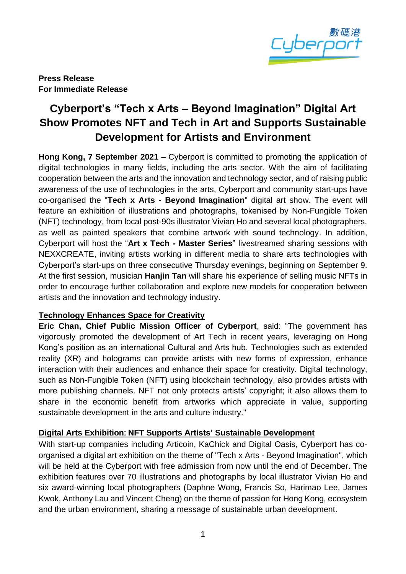

**Press Release For Immediate Release**

# **Cyberport's "Tech x Arts – Beyond Imagination" Digital Art Show Promotes NFT and Tech in Art and Supports Sustainable Development for Artists and Environment**

**Hong Kong, 7 September 2021** – Cyberport is committed to promoting the application of digital technologies in many fields, including the arts sector. With the aim of facilitating cooperation between the arts and the innovation and technology sector, and of raising public awareness of the use of technologies in the arts, Cyberport and community start-ups have co-organised the "**Tech x Arts - Beyond Imagination**" digital art show. The event will feature an exhibition of illustrations and photographs, tokenised by Non-Fungible Token (NFT) technology, from local post-90s illustrator Vivian Ho and several local photographers, as well as painted speakers that combine artwork with sound technology. In addition, Cyberport will host the "**Art x Tech - Master Series**" livestreamed sharing sessions with NEXXCREATE, inviting artists working in different media to share arts technologies with Cyberport's start-ups on three consecutive Thursday evenings, beginning on September 9. At the first session, musician **Hanjin Tan** will share his experience of selling music NFTs in order to encourage further collaboration and explore new models for cooperation between artists and the innovation and technology industry.

## **Technology Enhances Space for Creativity**

**Eric Chan, Chief Public Mission Officer of Cyberport**, said: "The government has vigorously promoted the development of Art Tech in recent years, leveraging on Hong Kong's position as an international Cultural and Arts hub. Technologies such as extended reality (XR) and holograms can provide artists with new forms of expression, enhance interaction with their audiences and enhance their space for creativity. Digital technology, such as Non-Fungible Token (NFT) using blockchain technology, also provides artists with more publishing channels. NFT not only protects artists' copyright; it also allows them to share in the economic benefit from artworks which appreciate in value, supporting sustainable development in the arts and culture industry."

## **Digital Arts Exhibition: NFT Supports Artists' Sustainable Development**

With start-up companies including Articoin, KaChick and Digital Oasis, Cyberport has coorganised a digital art exhibition on the theme of "Tech x Arts - Beyond Imagination", which will be held at the Cyberport with free admission from now until the end of December. The exhibition features over 70 illustrations and photographs by local illustrator Vivian Ho and six award-winning local photographers (Daphne Wong, Francis So, Harimao Lee, James Kwok, Anthony Lau and Vincent Cheng) on the theme of passion for Hong Kong, ecosystem and the urban environment, sharing a message of sustainable urban development.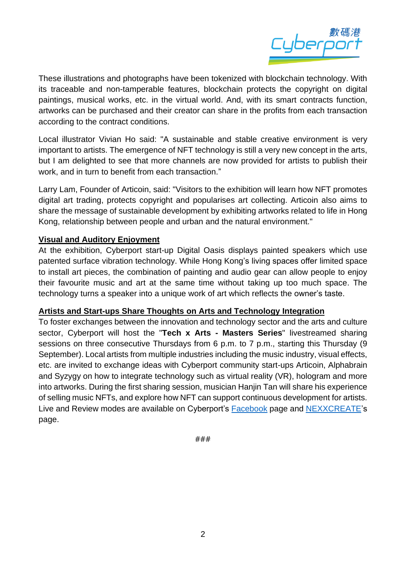

These illustrations and photographs have been tokenized with blockchain technology. With its traceable and non-tamperable features, blockchain protects the copyright on digital paintings, musical works, etc. in the virtual world. And, with its smart contracts function, artworks can be purchased and their creator can share in the profits from each transaction according to the contract conditions.

Local illustrator Vivian Ho said: "A sustainable and stable creative environment is very important to artists. The emergence of NFT technology is still a very new concept in the arts, but I am delighted to see that more channels are now provided for artists to publish their work, and in turn to benefit from each transaction."

Larry Lam, Founder of Articoin, said: "Visitors to the exhibition will learn how NFT promotes digital art trading, protects copyright and popularises art collecting. Articoin also aims to share the message of sustainable development by exhibiting artworks related to life in Hong Kong, relationship between people and urban and the natural environment."

#### **Visual and Auditory Enjoyment**

At the exhibition, Cyberport start-up Digital Oasis displays painted speakers which use patented surface vibration technology. While Hong Kong's living spaces offer limited space to install art pieces, the combination of painting and audio gear can allow people to enjoy their favourite music and art at the same time without taking up too much space. The technology turns a speaker into a unique work of art which reflects the owner's taste.

#### **Artists and Start-ups Share Thoughts on Arts and Technology Integration**

To foster exchanges between the innovation and technology sector and the arts and culture sector, Cyberport will host the "**Tech x Arts - Masters Series**" livestreamed sharing sessions on three consecutive Thursdays from 6 p.m. to 7 p.m., starting this Thursday (9 September). Local artists from multiple industries including the music industry, visual effects, etc. are invited to exchange ideas with Cyberport community start-ups Articoin, Alphabrain and Syzygy on how to integrate technology such as virtual reality (VR), hologram and more into artworks. During the first sharing session, musician Hanjin Tan will share his experience of selling music NFTs, and explore how NFT can support continuous development for artists. Live and Review modes are available on Cyberport's [Facebook](https://www.facebook.com/cyberport.hk/) page and [NEXXCREATE'](https://www.facebook.com/pages/category/Community-Organization/Nexxcreate-106185134946027/)s page.

###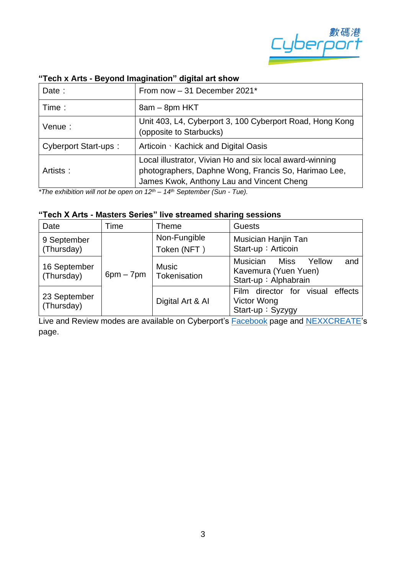

| Date:                       | From now - 31 December 2021*                                                                                                                                  |  |  |
|-----------------------------|---------------------------------------------------------------------------------------------------------------------------------------------------------------|--|--|
| Time:                       | 8am - 8pm HKT                                                                                                                                                 |  |  |
| Venue:                      | Unit 403, L4, Cyberport 3, 100 Cyberport Road, Hong Kong<br>(opposite to Starbucks)                                                                           |  |  |
| <b>Cyberport Start-ups:</b> | Articoin Stachick and Digital Oasis                                                                                                                           |  |  |
| Artists:                    | Local illustrator, Vivian Ho and six local award-winning<br>photographers, Daphne Wong, Francis So, Harimao Lee,<br>James Kwok, Anthony Lau and Vincent Cheng |  |  |

#### **"Tech x Arts - Beyond Imagination" digital art show**

*\*The exhibition will not be open on 12th – 14th September (Sun - Tue).*

### **"Tech X Arts - Masters Series" live streamed sharing sessions**

| Date                       | Time        | <b>Theme</b>                 | <b>Guests</b>                                                                            |
|----------------------------|-------------|------------------------------|------------------------------------------------------------------------------------------|
| 9 September<br>(Thursday)  | $6pm - 7pm$ | Non-Fungible<br>Token (NFT)  | Musician Hanjin Tan<br>Start-up: Articoin                                                |
| 16 September<br>(Thursday) |             | <b>Music</b><br>Tokenisation | <b>Musician</b><br>Yellow<br>and<br>Miss<br>Kavemura (Yuen Yuen)<br>Start-up: Alphabrain |
| 23 September<br>(Thursday) |             | Digital Art & Al             | Film director for visual<br>effects<br>Victor Wong<br>Start-up: Syzygy                   |

Live and Review modes are available on Cyberport's **[Facebook](https://www.facebook.com/cyberport.hk/)** page and **NEXXCREATE**'s page.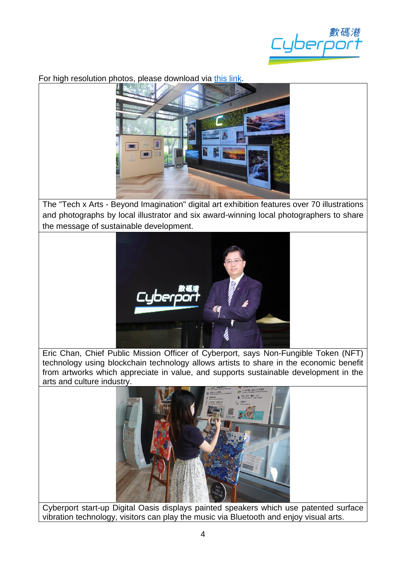

## For high resolution photos, please download via [this link.](https://drive.google.com/drive/folders/1O9DftnIfvw6VHAgAPTKCMDmYy0f_sjOR?usp=sharing)



The "Tech x Arts - Beyond Imagination" digital art exhibition features over 70 illustrations and photographs by local illustrator and six award-winning local photographers to share the message of sustainable development.



Eric Chan, Chief Public Mission Officer of Cyberport, says Non-Fungible Token (NFT) technology using blockchain technology allows artists to share in the economic benefit from artworks which appreciate in value, and supports sustainable development in the arts and culture industry.



Cyberport start-up Digital Oasis displays painted speakers which use patented surface vibration technology, visitors can play the music via Bluetooth and enjoy visual arts.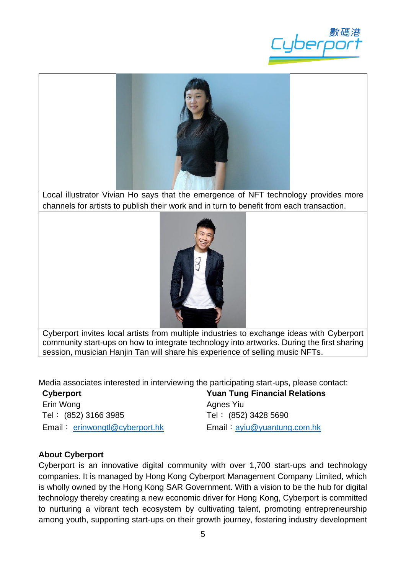



Local illustrator Vivian Ho says that the emergence of NFT technology provides more channels for artists to publish their work and in turn to benefit from each transaction.



Cyberport invites local artists from multiple industries to exchange ideas with Cyberport community start-ups on how to integrate technology into artworks. During the first sharing session, musician Hanjin Tan will share his experience of selling music NFTs.

Media associates interested in interviewing the participating start-ups, please contact:

**Cyberport** Erin Wong Tel: (852) 3166 3985 Email: [erinwongtl@cyberport.hk](mailto:erinwongtl@cyberport.hk) **Yuan Tung Financial Relations** Agnes Yiu Tel︰ (852) 3428 5690 Email︰[ayiu@yuantung.com.hk](file://///fsi-storage/Corporate%20Development/Communications/Project%202021/20210819%20IFTA%20FinTech%20Award/Press%20Release/ayiu@yuantung.com.hk)

## **About Cyberport**

Cyberport is an innovative digital community with over 1,700 start-ups and technology companies. It is managed by Hong Kong Cyberport Management Company Limited, which is wholly owned by the Hong Kong SAR Government. With a vision to be the hub for digital technology thereby creating a new economic driver for Hong Kong, Cyberport is committed to nurturing a vibrant tech ecosystem by cultivating talent, promoting entrepreneurship among youth, supporting start-ups on their growth journey, fostering industry development